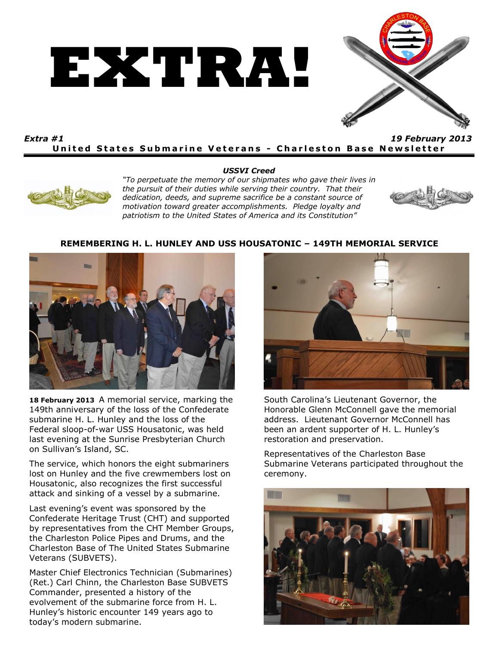



## *Extra #1 19 February 2013* **United States Submarine Veterans - Charleston Base Newsletter**





*"To perpetuate the memory of our shipmates who gave their lives in the pursuit of their duties while serving their country. That their dedication, deeds, and supreme sacrifice be a constant source of motivation toward greater accomplishments. Pledge loyalty and patriotism to the United States of America and its Constitution"*



## **REMEMBERING H. L. HUNLEY AND USS HOUSATONIC – 149TH MEMORIAL SERVICE**



**18 February 2013** A memorial service, marking the 149th anniversary of the loss of the Confederate submarine H. L. Hunley and the loss of the Federal sloop-of-war USS Housatonic, was held last evening at the Sunrise Presbyterian Church on Sullivan's Island, SC.

The service, which honors the eight submariners lost on Hunley and the five crewmembers lost on Housatonic, also recognizes the first successful attack and sinking of a vessel by a submarine.

Last evening's event was sponsored by the Confederate Heritage Trust (CHT) and supported by representatives from the CHT Member Groups, the Charleston Police Pipes and Drums, and the Charleston Base of The United States Submarine Veterans (SUBVETS).

Master Chief Electronics Technician (Submarines) (Ret.) Carl Chinn, the Charleston Base SUBVETS Commander, presented a history of the evolvement of the submarine force from H. L. Hunley's historic encounter 149 years ago to today's modern submarine.



South Carolina's Lieutenant Governor, the Honorable Glenn McConnell gave the memorial address. Lieutenant Governor McConnell has been an ardent supporter of H. L. Hunley's restoration and preservation.

Representatives of the Charleston Base Submarine Veterans participated throughout the ceremony.